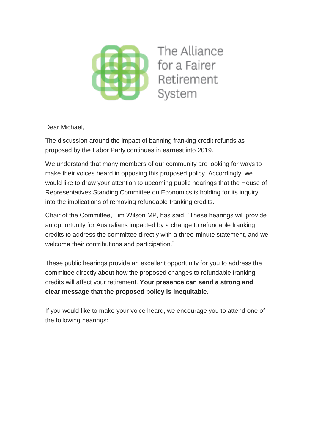

Dear Michael,

The discussion around the impact of banning franking credit refunds as proposed by the Labor Party continues in earnest into 2019.

We understand that many members of our community are looking for ways to make their voices heard in opposing this proposed policy. Accordingly, we would like to draw your attention to upcoming public hearings that the House of Representatives Standing Committee on Economics is holding for its inquiry into the implications of removing refundable franking credits.

Chair of the Committee, Tim Wilson MP, has said, "These hearings will provide an opportunity for Australians impacted by a change to refundable franking credits to address the committee directly with a three-minute statement, and we welcome their contributions and participation."

These public hearings provide an excellent opportunity for you to address the committee directly about how the proposed changes to refundable franking credits will affect your retirement. **Your presence can send a strong and clear message that the proposed policy is inequitable.**

If you would like to make your voice heard, we encourage you to attend one of the following hearings: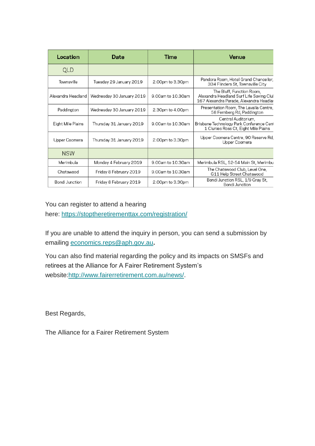| Location              | Date                      | Time              | Venue                                                                                                            |
|-----------------------|---------------------------|-------------------|------------------------------------------------------------------------------------------------------------------|
| <b>QLD</b>            |                           |                   |                                                                                                                  |
| Townsville            | Tuesday 29 January 2019   | 2.00pm to 3.30pm  | Pandora Room, Hotel Grand Chancellor,<br>334 Flinders St, Townsville City                                        |
| Alexandra Headland    | Wednesday 30 January 2019 | 9.00am to 10.30am | The Bluff, Function Room,<br>Alexandra Headland Surf Life Saving Clul<br>167 Alexandra Parade, Alexandra Headlar |
| Paddington            | Wednesday 30 January 2019 | 2.30pm to 4.00pm  | Presentation Room, The Lavalla Centre,<br>58 Fernberg Rd, Paddington                                             |
| Eight Mile Plains     | Thursday 31 January 2019  | 9.00am to 10.30am | Central Auditorium,<br>Brisbane Technology Park Conference Cent<br>1 Clunies Ross Ct, Eight Mile Plains          |
| Upper Coomera         | Thursday 31 January 2019  | 2.00pm to 3.30pm  | Upper Coomera Centre, 90 Reserve Rd,<br>Upper Coomera                                                            |
| <b>NSW</b>            |                           |                   |                                                                                                                  |
| Merimbula             | Monday 4 February 2019    | 9.00am to 10.30am | Merimbula RSL, 52-54 Main St, Merimbu                                                                            |
| Chatswood             | Friday 8 February 2019    | 9.00am to 10.30am | The Chatswood Club, Level One,<br>G11 Help Street Chatswood                                                      |
| <b>Bondi Junction</b> | Friday 8 February 2019    | 2.00pm to 3.30pm  | Bondi Junction RSL, 1/9 Gray St,<br><b>Bondi Junction</b>                                                        |

You can register to attend a hearing

here: [https://stoptheretirementtax.com/registration/](https://fairerretirement.us18.list-manage.com/track/click?u=1586fde5b8dc261e7aa4c67e7&id=12cdda0668&e=587f6b3e07)

If you are unable to attend the inquiry in person, you can send a submission by emailing [economics.reps@aph.gov.au](mailto:economics.reps@aph.gov.au)**.**

You can also find material regarding the policy and its impacts on SMSFs and retirees at the Alliance for A Fairer Retirement System's website[:http://www.fairerretirement.com.au/news/.](https://fairerretirement.us18.list-manage.com/track/click?u=1586fde5b8dc261e7aa4c67e7&id=bdbf633eb9&e=587f6b3e07)

Best Regards,

The Alliance for a Fairer Retirement System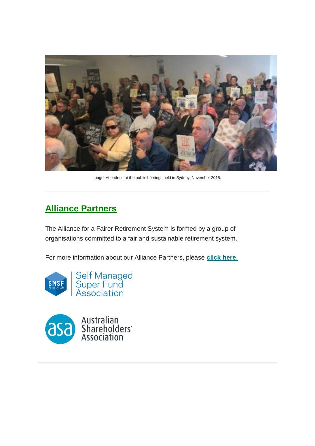

Image: Attendees at the public hearings held in Sydney, November 2018.

## **Alliance Partners**

The Alliance for a Fairer Retirement System is formed by a group of organisations committed to a fair and sustainable retirement system.

For more information about our Alliance Partners, please **[click here](https://fairerretirement.us18.list-manage.com/track/click?u=1586fde5b8dc261e7aa4c67e7&id=dcc7ee0dc2&e=587f6b3e07)**.